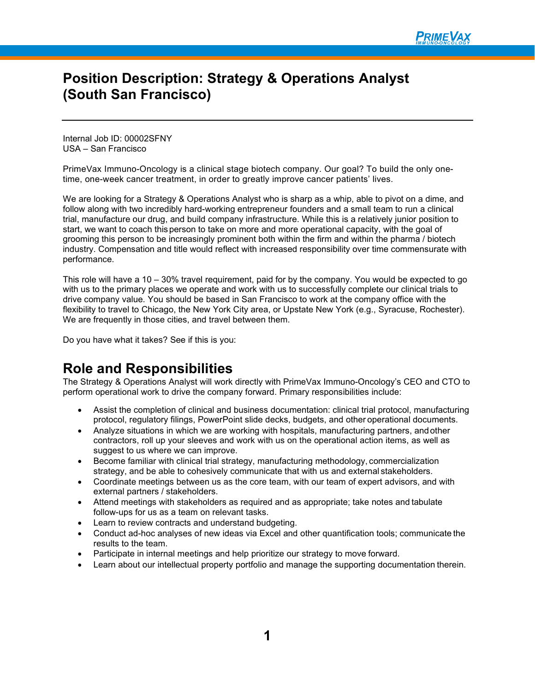### **Position Description: Strategy & Operations Analyst (South San Francisco)**

Internal Job ID: 00002SFNY USA – San Francisco

PrimeVax Immuno-Oncology is a clinical stage biotech company. Our goal? To build the only onetime, one-week cancer treatment, in order to greatly improve cancer patients' lives.

We are looking for a Strategy & Operations Analyst who is sharp as a whip, able to pivot on a dime, and follow along with two incredibly hard-working entrepreneur founders and a small team to run a clinical trial, manufacture our drug, and build company infrastructure. While this is a relatively junior position to start, we want to coach thisperson to take on more and more operational capacity, with the goal of grooming this person to be increasingly prominent both within the firm and within the pharma / biotech industry. Compensation and title would reflect with increased responsibility over time commensurate with performance.

This role will have a 10 – 30% travel requirement, paid for by the company. You would be expected to go with us to the primary places we operate and work with us to successfully complete our clinical trials to drive company value. You should be based in San Francisco to work at the company office with the flexibility to travel to Chicago, the New York City area, or Upstate New York (e.g., Syracuse, Rochester). We are frequently in those cities, and travel between them.

Do you have what it takes? See if this is you:

### **Role and Responsibilities**

The Strategy & Operations Analyst will work directly with PrimeVax Immuno-Oncology's CEO and CTO to perform operational work to drive the company forward. Primary responsibilities include:

- Assist the completion of clinical and business documentation: clinical trial protocol, manufacturing protocol, regulatory filings, PowerPoint slide decks, budgets, and other operational documents.
- Analyze situations in which we are working with hospitals, manufacturing partners, andother contractors, roll up your sleeves and work with us on the operational action items, as well as suggest to us where we can improve.
- Become familiar with clinical trial strategy, manufacturing methodology, commercialization strategy, and be able to cohesively communicate that with us and external stakeholders.
- Coordinate meetings between us as the core team, with our team of expert advisors, and with external partners / stakeholders.
- Attend meetings with stakeholders as required and as appropriate; take notes and tabulate follow-ups for us as a team on relevant tasks.
- Learn to review contracts and understand budgeting.
- Conduct ad-hoc analyses of new ideas via Excel and other quantification tools; communicate the results to the team.
- Participate in internal meetings and help prioritize our strategy to move forward.
- Learn about our intellectual property portfolio and manage the supporting documentation therein.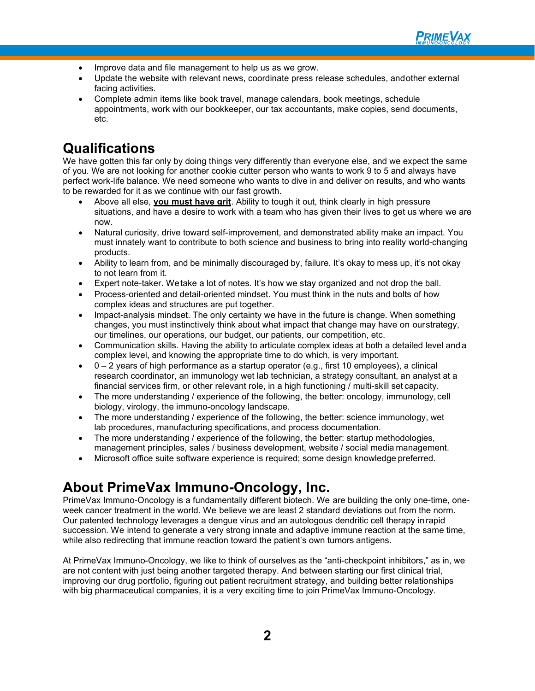

- Improve data and file management to help us as we grow.
- Update the website with relevant news, coordinate press release schedules, andother external facing activities.
- Complete admin items like book travel, manage calendars, book meetings, schedule appointments, work with our bookkeeper, our tax accountants, make copies, send documents, etc.

## **Qualifications**

We have gotten this far only by doing things very differently than everyone else, and we expect the same of you. We are not looking for another cookie cutter person who wants to work 9 to 5 and always have perfect work-life balance. We need someone who wants to dive in and deliver on results, and who wants to be rewarded for it as we continue with our fast growth.

- Above all else, **you must have grit**. Ability to tough it out, think clearly in high pressure situations, and have a desire to work with a team who has given their lives to get us where we are now.
- Natural curiosity, drive toward self-improvement, and demonstrated ability make an impact. You must innately want to contribute to both science and business to bring into reality world-changing products.
- Ability to learn from, and be minimally discouraged by, failure. It's okay to mess up, it's not okay to not learn from it.
- Expert note-taker. Wetake a lot of notes. It's how we stay organized and not drop the ball.
- Process-oriented and detail-oriented mindset. You must think in the nuts and bolts of how complex ideas and structures are put together.
- Impact-analysis mindset. The only certainty we have in the future is change. When something changes, you must instinctively think about what impact that change may have on ourstrategy, our timelines, our operations, our budget, our patients, our competition, etc.
- Communication skills. Having the ability to articulate complex ideas at both a detailed level anda complex level, and knowing the appropriate time to do which, is very important.
- $0 2$  years of high performance as a startup operator (e.g., first 10 employees), a clinical research coordinator, an immunology wet lab technician, a strategy consultant, an analyst at a financial services firm, or other relevant role, in a high functioning / multi-skill set capacity.
- The more understanding / experience of the following, the better: oncology, immunology, cell biology, virology, the immuno-oncology landscape.
- The more understanding / experience of the following, the better: science immunology, wet lab procedures, manufacturing specifications, and process documentation.
- The more understanding / experience of the following, the better: startup methodologies, management principles, sales / business development, website / social media management.
- Microsoft office suite software experience is required; some design knowledge preferred.

# **About PrimeVax Immuno-Oncology, Inc.**

PrimeVax Immuno-Oncology is a fundamentally different biotech. We are building the only one-time, oneweek cancer treatment in the world. We believe we are least 2 standard deviations out from the norm. Our patented technology leverages a dengue virus and an autologous dendritic cell therapy in rapid succession. We intend to generate a very strong innate and adaptive immune reaction at the same time, while also redirecting that immune reaction toward the patient's own tumors antigens.

At PrimeVax Immuno-Oncology, we like to think of ourselves as the "anti-checkpoint inhibitors," as in, we are not content with just being another targeted therapy. And between starting our first clinical trial, improving our drug portfolio, figuring out patient recruitment strategy, and building better relationships with big pharmaceutical companies, it is a very exciting time to join PrimeVax Immuno-Oncology.